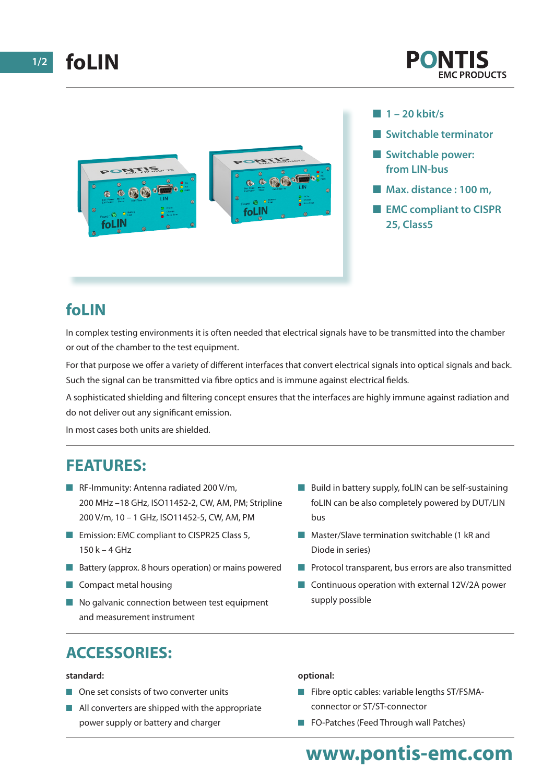

- n **1 20 kbit/s**
- **n** Switchable terminator
- $\blacksquare$  Switchable power: **from LIN-bus**
- Max. distance : 100 m,
- **EMC compliant to CISPR 25, Class5**

## **foLIN**

In complex testing environments it is often needed that electrical signals have to be transmitted into the chamber or out of the chamber to the test equipment.

For that purpose we offer a variety of different interfaces that convert electrical signals into optical signals and back. Such the signal can be transmitted via fibre optics and is immune against electrical fields.

A sophisticated shielding and filtering concept ensures that the interfaces are highly immune against radiation and do not deliver out any significant emission.

In most cases both units are shielded.

### **FEATURES:**

- **n** RF-Immunity: Antenna radiated 200 V/m, 200 MHz –18 GHz, ISO11452-2, CW, AM, PM; Stripline 200 V/m, 10 – 1 GHz, ISO11452-5, CW, AM, PM
- Emission: EMC compliant to CISPR25 Class 5, 150 k – 4 GHz
- $\blacksquare$  Battery (approx. 8 hours operation) or mains powered
- $\blacksquare$  Compact metal housing
- $\blacksquare$  No galvanic connection between test equipment and measurement instrument
- $\blacksquare$  Build in battery supply, foLIN can be self-sustaining foLIN can be also completely powered by DUT/LIN bus
- **n** Master/Slave termination switchable (1 kR and Diode in series)
- $\blacksquare$  Protocol transparent, bus errors are also transmitted
- $\Box$  Continuous operation with external 12V/2A power supply possible

# **ACCESSORIES:**

#### **standard:**

- $\blacksquare$  One set consists of two converter units
- $\blacksquare$  All converters are shipped with the appropriate power supply or battery and charger

#### **optional:**

- $\blacksquare$  Fibre optic cables: variable lengths ST/FSMAconnector or ST/ST-connector
- **n** FO-Patches (Feed Through wall Patches)

# **www.pontis-emc.com**